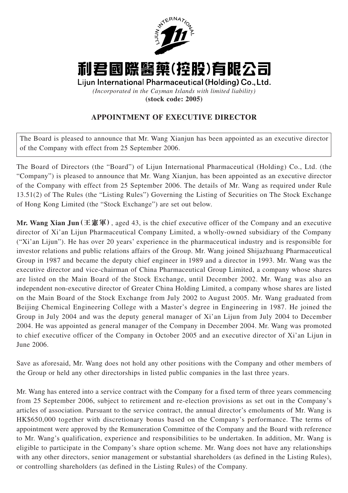

利君國際醫藥(控股)有限公司

Lijun International Pharmaceutical (Holding) Co., Ltd. *(Incorporated in the Cayman Islands with limited liability)* **(stock code: 2005)**

## **APPOINTMENT OF EXECUTIVE DIRECTOR**

The Board is pleased to announce that Mr. Wang Xianjun has been appointed as an executive director of the Company with effect from 25 September 2006.

The Board of Directors (the "Board") of Lijun International Pharmaceutical (Holding) Co., Ltd. (the "Company") is pleased to announce that Mr. Wang Xianjun, has been appointed as an executive director of the Company with effect from 25 September 2006. The details of Mr. Wang as required under Rule 13.51(2) of The Rules (the "Listing Rules") Governing the Listing of Securities on The Stock Exchange of Hong Kong Limited (the "Stock Exchange") are set out below.

**Mr. Wang Xian Jun(王憲軍)**, aged 43, is the chief executive officer of the Company and an executive director of Xi'an Lijun Pharmaceutical Company Limited, a wholly-owned subsidiary of the Company ("Xi'an Lijun"). He has over 20 years' experience in the pharmaceutical industry and is responsible for investor relations and public relations affairs of the Group. Mr. Wang joined Shijazhuang Pharmaceutical Group in 1987 and became the deputy chief engineer in 1989 and a director in 1993. Mr. Wang was the executive director and vice-chairman of China Pharmaceutical Group Limited, a company whose shares are listed on the Main Board of the Stock Exchange, until December 2002. Mr. Wang was also an independent non-executive director of Greater China Holding Limited, a company whose shares are listed on the Main Board of the Stock Exchange from July 2002 to August 2005. Mr. Wang graduated from Beijing Chemical Engineering College with a Master's degree in Engineering in 1987. He joined the Group in July 2004 and was the deputy general manager of Xi'an Lijun from July 2004 to December 2004. He was appointed as general manager of the Company in December 2004. Mr. Wang was promoted to chief executive officer of the Company in October 2005 and an executive director of Xi'an Lijun in June 2006.

Save as aforesaid, Mr. Wang does not hold any other positions with the Company and other members of the Group or held any other directorships in listed public companies in the last three years.

Mr. Wang has entered into a service contract with the Company for a fixed term of three years commencing from 25 September 2006, subject to retirement and re-election provisions as set out in the Company's articles of association. Pursuant to the service contract, the annual director's emoluments of Mr. Wang is HK\$650,000 together with discretionary bonus based on the Company's performance. The terms of appointment were approved by the Remuneration Committee of the Company and the Board with reference to Mr. Wang's qualification, experience and responsibilities to be undertaken. In addition, Mr. Wang is eligible to participate in the Company's share option scheme. Mr. Wang does not have any relationships with any other directors, senior management or substantial shareholders (as defined in the Listing Rules), or controlling shareholders (as defined in the Listing Rules) of the Company.